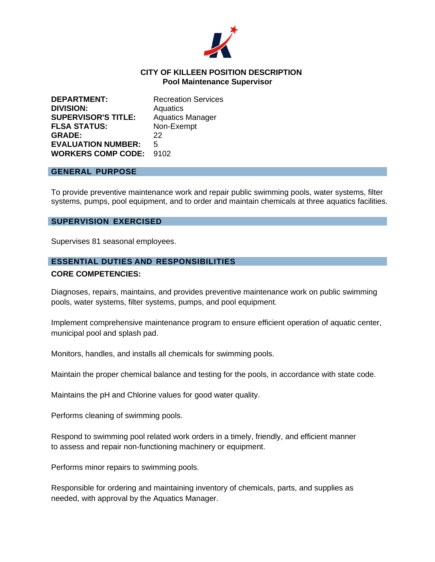

### **CITY OF KILLEEN POSITION DESCRIPTION Pool Maintenance Supervisor**

| <b>DEPARTMENT:</b>         | <b>Recreation Services</b> |
|----------------------------|----------------------------|
| <b>DIVISION:</b>           | Aquatics                   |
| <b>SUPERVISOR'S TITLE:</b> | <b>Aquatics Manager</b>    |
| <b>FLSA STATUS:</b>        | Non-Exempt                 |
| <b>GRADE:</b>              | 22                         |
| <b>EVALUATION NUMBER:</b>  | 5                          |
| <b>WORKERS COMP CODE:</b>  | 9102                       |

#### **GENERAL PURPOSE**

To provide preventive maintenance work and repair public swimming pools, water systems, filter systems, pumps, pool equipment, and to order and maintain chemicals at three aquatics facilities.

#### **SUPERVISION EXERCISED**

Supervises 81 seasonal employees.

### **ESSENTIAL DUTIES AND RESPONSIBILITIES**

#### **CORE COMPETENCIES:**

Diagnoses, repairs, maintains, and provides preventive maintenance work on public swimming pools, water systems, filter systems, pumps, and pool equipment.

Implement comprehensive maintenance program to ensure efficient operation of aquatic center, municipal pool and splash pad.

Monitors, handles, and installs all chemicals for swimming pools.

Maintain the proper chemical balance and testing for the pools, in accordance with state code.

Maintains the pH and Chlorine values for good water quality.

Performs cleaning of swimming pools.

Respond to swimming pool related work orders in a timely, friendly, and efficient manner to assess and repair non-functioning machinery or equipment.

Performs minor repairs to swimming pools.

Responsible for ordering and maintaining inventory of chemicals, parts, and supplies as needed, with approval by the Aquatics Manager.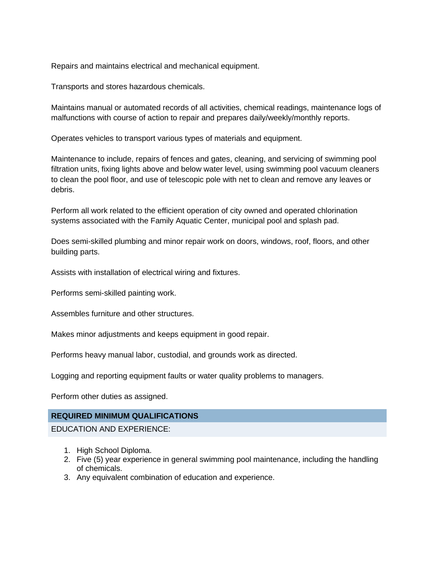Repairs and maintains electrical and mechanical equipment.

Transports and stores hazardous chemicals.

Maintains manual or automated records of all activities, chemical readings, maintenance logs of malfunctions with course of action to repair and prepares daily/weekly/monthly reports.

Operates vehicles to transport various types of materials and equipment.

Maintenance to include, repairs of fences and gates, cleaning, and servicing of swimming pool filtration units, fixing lights above and below water level, using swimming pool vacuum cleaners to clean the pool floor, and use of telescopic pole with net to clean and remove any leaves or debris.

Perform all work related to the efficient operation of city owned and operated chlorination systems associated with the Family Aquatic Center, municipal pool and splash pad.

Does semi-skilled plumbing and minor repair work on doors, windows, roof, floors, and other building parts.

Assists with installation of electrical wiring and fixtures.

Performs semi-skilled painting work.

Assembles furniture and other structures.

Makes minor adjustments and keeps equipment in good repair.

Performs heavy manual labor, custodial, and grounds work as directed.

Logging and reporting equipment faults or water quality problems to managers.

Perform other duties as assigned.

# **REQUIRED MINIMUM QUALIFICATIONS**

EDUCATION AND EXPERIENCE:

- 1. High School Diploma.
- 2. Five (5) year experience in general swimming pool maintenance, including the handling of chemicals.
- 3. Any equivalent combination of education and experience.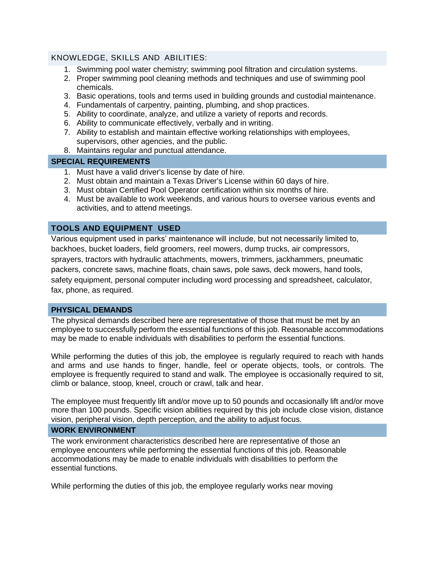## KNOWLEDGE, SKILLS AND ABILITIES:

- 1. Swimming pool water chemistry; swimming pool filtration and circulation systems.
- 2. Proper swimming pool cleaning methods and techniques and use of swimming pool chemicals.
- 3. Basic operations, tools and terms used in building grounds and custodial maintenance.
- 4. Fundamentals of carpentry, painting, plumbing, and shop practices.
- 5. Ability to coordinate, analyze, and utilize a variety of reports and records.
- 6. Ability to communicate effectively, verbally and in writing.
- 7. Ability to establish and maintain effective working relationships with employees, supervisors, other agencies, and the public.
- 8. Maintains regular and punctual attendance.

## **SPECIAL REQUIREMENTS**

- 1. Must have a valid driver's license by date of hire.
- 2. Must obtain and maintain a Texas Driver's License within 60 days of hire.
- 3. Must obtain Certified Pool Operator certification within six months of hire.
- 4. Must be available to work weekends, and various hours to oversee various events and activities, and to attend meetings.

# **TOOLS AND EQUIPMENT USED**

Various equipment used in parks' maintenance will include, but not necessarily limited to, backhoes, bucket loaders, field groomers, reel mowers, dump trucks, air compressors, sprayers, tractors with hydraulic attachments, mowers, trimmers, jackhammers, pneumatic packers, concrete saws, machine floats, chain saws, pole saws, deck mowers, hand tools, safety equipment, personal computer including word processing and spreadsheet, calculator, fax, phone, as required.

# **PHYSICAL DEMANDS**

The physical demands described here are representative of those that must be met by an employee to successfully perform the essential functions of this job. Reasonable accommodations may be made to enable individuals with disabilities to perform the essential functions.

While performing the duties of this job, the employee is regularly required to reach with hands and arms and use hands to finger, handle, feel or operate objects, tools, or controls. The employee is frequently required to stand and walk. The employee is occasionally required to sit, climb or balance, stoop, kneel, crouch or crawl, talk and hear.

The employee must frequently lift and/or move up to 50 pounds and occasionally lift and/or move more than 100 pounds. Specific vision abilities required by this job include close vision, distance vision, peripheral vision, depth perception, and the ability to adjust focus.

## **WORK ENVIRONMENT**

The work environment characteristics described here are representative of those an employee encounters while performing the essential functions of this job. Reasonable accommodations may be made to enable individuals with disabilities to perform the essential functions.

While performing the duties of this job, the employee regularly works near moving